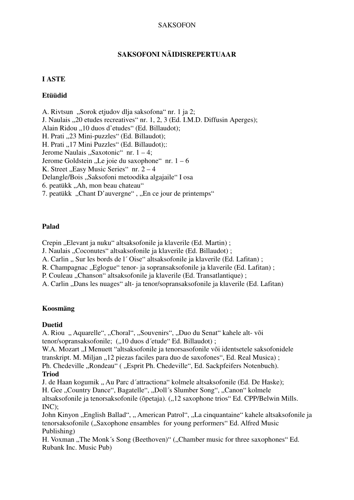#### SAKSOFON

## **SAKSOFONI NÄIDISREPERTUAAR**

#### **I ASTE**

### **Etüüdid**

A. Rivtsun "Sorok etjudov dlja saksofona" nr. 1 ja 2; J. Naulais "20 etudes recreatives" nr. 1, 2, 3 (Ed. I.M.D. Diffusin Aperges); Alain Ridou ...10 duos d'etudes" (Ed. Billaudot): H. Prati "23 Mini-puzzles" (Ed. Billaudot); H. Prati "17 Mini Puzzles" (Ed. Billaudot);: Jerome Naulais "Saxotonic" nr.  $1 - 4$ ; Jerome Goldstein "Le joie du saxophone" nr.  $1 - 6$ K. Street "Easy Music Series" nr.  $2 - 4$ Delangle/Bois "Saksofoni metoodika algajaile" I osa 6. peatükk "Ah, mon beau chateau" 7. peatükk "Chant D'auvergne", "En ce jour de printemps"

### **Palad**

Crepin "Elevant ja nuku" altsaksofonile ja klaverile (Ed. Martin);

J. Naulais "Coconutes" altsaksofonile ja klaverile (Ed. Billaudot);

A. Carlin " Sur les bords de l'Oise" altsaksofonile ja klaverile (Ed. Lafitan);

R. Champagnac "Eglogue" tenor- ja sopransaksofonile ja klaverile (Ed. Lafitan);

P. Couleau "Chanson" altsaksofonile ja klaverile (Ed. Transatlantique);

A. Carlin "Dans les nuages" alt- ja tenor/sopransaksofonile ja klaverile (Ed. Lafitan)

## **Koosmäng**

## **Duetid**

A. Riou " Aquarelle", "Choral", "Souvenirs", "Duo du Senat" kahele alt- või tenor/sopransaksofonile; ("10 duos d'etude" Ed. Billaudot);

W.A. Mozart "I Menuett "altsaksofonile ja tenorsasofonile või identsetele saksofonidele transkript. M. Miljan "12 piezas faciles para duo de saxofones", Ed. Real Musica); Ph. Chedeville "Rondeau" ("Esprit Ph. Chedeville", Ed. Sackpfeifers Notenbuch).

#### **Triod**

J. de Haan kogumik .. Au Parc d'attractiona "kolmele altsaksofonile (Ed. De Haske): H. Gee "Country Dance", Bagatelle", "Doll's Slumber Song", "Canon" kolmele altsaksofonile ja tenorsaksofonile (õpetaja). ("12 saxophone trios" Ed. CPP/Belwin Mills. INC);

John Kinyon "English Ballad", "American Patrol", "La cinquantaine" kahele altsaksofonile ja tenorsaksofonile ("Saxophone ensambles for young performers" Ed. Alfred Music Publishing)

H. Voxman ..The Monk's Song (Beethoven)" (..Chamber music for three saxophones" Ed. Rubank Inc. Music Pub)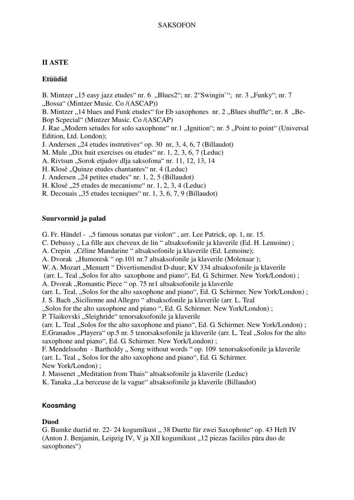# **II ASTE**

# **Etüüdid**

B. Mintzer "15 easy jazz etudes" nr. 6 "Blues2"; nr. 2"Swingin""; nr. 3 "Funky"; nr. 7 "Bossa" (Mintzer Music. Co /(ASCAP))

B. Mintzer  $\cdot$ , 14 blues and Funk etudes " for Eb saxophones nr. 2  $\cdot$ , Blues shuffle"; nr. 8  $\cdot$ , Be-Bop Scpecial" (Mintzer Music. Co /(ASCAP)

J. Rae "Modern setudes for solo saxophone" nr.1 "Ignition"; nr. 5 "Point to point" (Universal Edition, Ltd. London);

J. Andersen "24 etudes instrutives" op. 30 nr, 3, 4, 6, 7 (Billaudot)

M. Mule "Dix huit exercises ou etudes" nr. 1, 2, 3, 6, 7 (Leduc)

A. Rivtsun "Sorok etjudov dlja saksofona" nr. 11, 12, 13, 14

H. Klosé "Quinze etudes chantantes" nr. 4 (Leduc)

J. Andersen "24 petites etudes" nr. 1, 2, 5 (Billaudot)

H. Klosé ..25 etudes de mecanisme" nr. 1, 2, 3, 4 (Leduc)

R. Decouais "35 etudes tecniques" nr. 1, 3, 6, 7, 9 (Billaudot)

# **Suurvormid ja palad**

G. Fr. Händel - "5 famous sonatas par violon", arr. Lee Patrick, op. 1, nr. 15.

C. Debussy " La fille aux cheveux de lin " altsaksofonile ja klaverile (Ed. H. Lemoine) ;

A. Crepin "Céline Mandarine " altsaksofonile ja klaverile (Ed. Lemoine);

A. Dvorak "Humoresk" op.101 nr.7 altsaksofonile ja klaverile (Molenaar);

W. A. Mozart "Menuett" Divertismendist D-duur; KV 334 altsaksofonile ja klaverile

(arr. L. Teal , Solos for alto saxophone and piano", Ed. G. Schirmer. New York/London);

A. Dvorak "Romantic Piece" op. 75 nr1 altsaksofonile ja klaverile

(arr. L. Teal, "Solos for the alto saxophone and piano", Ed. G. Schirmer. New York/London) ;

J. S. Bach "Sicilienne and Allegro" altsaksofonile ja klaverile (arr. L. Teal

"Solos for the alto saxophone and piano ", Ed. G. Schirmer. New York/London) :

P. Tšaikovski "Sleighride" tenorsaksofonile ja klaverile

(arr. L. Teal ., Solos for the alto saxophone and piano", Ed. G. Schirmer. New York/London); E.Granados "Playera" op.5 nr. 5 tenorsaksofonile ja klaverile (arr. L. Teal "Solos for the alto saxophone and piano", Ed. G. Schirmer. New York/London) ;

F. Mendelssohn - Bartholdy .. Song without words " op. 109 tenorsaksofonile ja klaverile (arr. L. Teal ., Solos for the alto saxophone and piano", Ed. G. Schirmer. New York/London) ;

J. Massenet "Meditation from Thais" altsaksofonile ja klaverile (Leduc)

K. Tanaka "La berceuse de la vague" altsaksofonile ja klaverile (Billaudot)

# **Koosmäng**

# **Duod**

G. Bumke duetid nr. 22- 24 kogumikust "38 Duette für zwei Saxophone" op. 43 Heft IV (Anton J. Benjamin, Leipzig IV, V ja XII kogumikust "12 piezas faciiles pära duo de saxophones")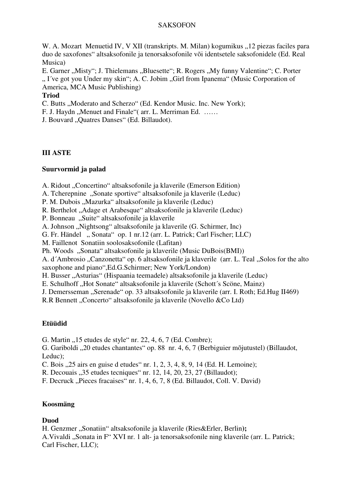### SAKSOFON

W. A. Mozart Menuetid IV, V XII (transkripts. M. Milan) kogumikus "12 piezas faciles para duo de saxofones" altsaksofonile ja tenorsaksofonile või identsetele saksofonidele (Ed. Real Musica)

E. Garner "Misty"; J. Thielemans "Bluesette"; R. Rogers "My funny Valentine"; C. Porter ". I've got you Under my skin"; A. C. Jobim "Girl from Ipanema" (Music Corporation of America, MCA Music Publishing)

## **Triod**

C. Butts "Moderato and Scherzo" (Ed. Kendor Music. Inc. New York);

F. J. Haydn "Menuet and Finale"( arr. L. Merriman Ed. ……

J. Bouvard "Quatres Danses" (Ed. Billaudot).

## **III ASTE**

## **Suurvormid ja palad**

A. Ridout "Concertino" altsaksofonile ja klaverile (Emerson Edition)

A. Tcherepnine "Sonate sportive" altsaksofonile ja klaverile (Leduc)

P. M. Dubois "Mazurka" altsaksofonile ja klaverile (Leduc)

R. Berthelot "Adage et Arabesque" altsaksofonile ja klaverile (Leduc)

P. Bonneau "Suite" altsaksofonile ja klaverile

A. Johnson "Nightsong" altsaksofonile ja klaverile (G. Schirmer, Inc)

G. Fr. Händel "Sonata" op. 1 nr.12 (arr. L. Patrick; Carl Fischer; LLC)

M. Faillenot Sonatiin soolosaksofonile (Lafitan)

Ph. Woods "Sonata" altsaksofonile ja klaverile (Music DuBois(BMI))

A. d'Ambrosio "Canzonetta" op. 6 altsaksofonile ja klaverile (arr. L. Teal "Solos for the alto saxophone and piano",Ed.G.Schirmer; New York/London)

H. Busser "Asturias" (Hispaania teemadele) altsaksofonile ja klaverile (Leduc)

E. Schulhoff "Hot Sonate" altsaksofonile ja klaverile (Schott's Scöne, Mainz)

J. Demersseman "Serenade" op. 33 altsaksofonile ja klaverile (arr. I. Roth; Ed.Hug II469)

R.R Bennett "Concerto" altsaksofonile ja klaverile (Novello & Co Ltd)

## **Etüüdid**

G. Martin "15 etudes de style" nr. 22, 4, 6, 7 (Ed. Combre);

G. Gariboldi "20 etudes chantantes" op. 88 nr. 4, 6, 7 (Berbiguier mõjutustel) (Billaudot, Leduc);

C. Bois "25 airs en guise d etudes" nr. 1, 2, 3, 4, 8, 9, 14 (Ed. H. Lemoine);

R. Decouais "35 etudes tecniques" nr. 12, 14, 20, 23, 27 (Billaudot);

F. Decruck "Pieces fracaises" nr. 1, 4, 6, 7, 8 (Ed. Billaudot, Coll. V. David)

## **Koosmäng**

## **Duod**

H. Genzmer "Sonatiin" altsaksofonile ja klaverile (Ries&Erler, Berlin): A.Vivaldi "Sonata in F" XVI nr. 1 alt- ja tenorsaksofonile ning klaverile (arr. L. Patrick; Carl Fischer, LLC);